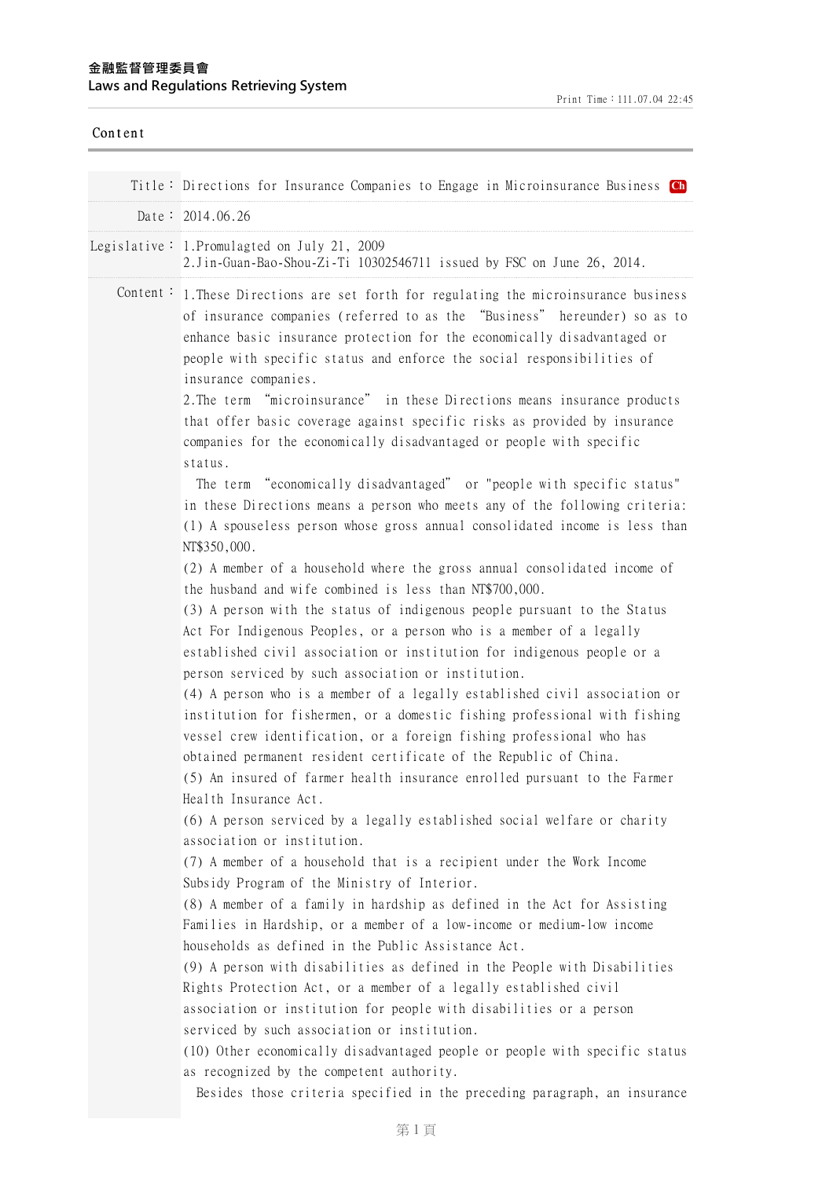| Content |                                                                                                                                                                                                                                                                                                                                                                                                                                                                                                                                                                                                                                                                                                                                                                                                                                                                                                                                                                                                                                                                                                                                                                                                                                                                                     |
|---------|-------------------------------------------------------------------------------------------------------------------------------------------------------------------------------------------------------------------------------------------------------------------------------------------------------------------------------------------------------------------------------------------------------------------------------------------------------------------------------------------------------------------------------------------------------------------------------------------------------------------------------------------------------------------------------------------------------------------------------------------------------------------------------------------------------------------------------------------------------------------------------------------------------------------------------------------------------------------------------------------------------------------------------------------------------------------------------------------------------------------------------------------------------------------------------------------------------------------------------------------------------------------------------------|
|         | Title: Directions for Insurance Companies to Engage in Microinsurance Business Ch                                                                                                                                                                                                                                                                                                                                                                                                                                                                                                                                                                                                                                                                                                                                                                                                                                                                                                                                                                                                                                                                                                                                                                                                   |
|         | Date: $2014.06.26$                                                                                                                                                                                                                                                                                                                                                                                                                                                                                                                                                                                                                                                                                                                                                                                                                                                                                                                                                                                                                                                                                                                                                                                                                                                                  |
|         |                                                                                                                                                                                                                                                                                                                                                                                                                                                                                                                                                                                                                                                                                                                                                                                                                                                                                                                                                                                                                                                                                                                                                                                                                                                                                     |
|         | Legislative: 1. Promulagted on July 21, 2009<br>2. Jin-Guan-Bao-Shou-Zi-Ti 10302546711 issued by FSC on June 26, 2014.                                                                                                                                                                                                                                                                                                                                                                                                                                                                                                                                                                                                                                                                                                                                                                                                                                                                                                                                                                                                                                                                                                                                                              |
|         | Content: 1. These Directions are set forth for regulating the microinsurance business<br>of insurance companies (referred to as the "Business" hereunder) so as to<br>enhance basic insurance protection for the economically disadvantaged or<br>people with specific status and enforce the social responsibilities of<br>insurance companies.<br>2. The term "microinsurance" in these Directions means insurance products<br>that offer basic coverage against specific risks as provided by insurance<br>companies for the economically disadvantaged or people with specific<br>status.<br>The term "economically disadvantaged" or "people with specific status"<br>in these Directions means a person who meets any of the following criteria:<br>(1) A spouseless person whose gross annual consolidated income is less than<br>NT\$350,000.<br>(2) A member of a household where the gross annual consolidated income of<br>the husband and wife combined is less than NT\$700,000.<br>(3) A person with the status of indigenous people pursuant to the Status<br>Act For Indigenous Peoples, or a person who is a member of a legally<br>established civil association or institution for indigenous people or a<br>person serviced by such association or institution. |
|         | (4) A person who is a member of a legally established civil association or<br>institution for fishermen, or a domestic fishing professional with fishing<br>vessel crew identification, or a foreign fishing professional who has<br>obtained permanent resident certificate of the Republic of China.<br>(5) An insured of farmer health insurance enrolled pursuant to the Farmer<br>Health Insurance Act.                                                                                                                                                                                                                                                                                                                                                                                                                                                                                                                                                                                                                                                                                                                                                                                                                                                                        |
|         | (6) A person serviced by a legally established social welfare or charity<br>association or institution.<br>(7) A member of a household that is a recipient under the Work Income<br>Subsidy Program of the Ministry of Interior.                                                                                                                                                                                                                                                                                                                                                                                                                                                                                                                                                                                                                                                                                                                                                                                                                                                                                                                                                                                                                                                    |
|         | (8) A member of a family in hardship as defined in the Act for Assisting<br>Families in Hardship, or a member of a low-income or medium-low income<br>households as defined in the Public Assistance Act.                                                                                                                                                                                                                                                                                                                                                                                                                                                                                                                                                                                                                                                                                                                                                                                                                                                                                                                                                                                                                                                                           |
|         | (9) A person with disabilities as defined in the People with Disabilities<br>Rights Protection Act, or a member of a legally established civil<br>association or institution for people with disabilities or a person<br>serviced by such association or institution.                                                                                                                                                                                                                                                                                                                                                                                                                                                                                                                                                                                                                                                                                                                                                                                                                                                                                                                                                                                                               |
|         | (10) Other economically disadvantaged people or people with specific status<br>as recognized by the competent authority.<br>Besides those criteria specified in the preceding paragraph, an insurance                                                                                                                                                                                                                                                                                                                                                                                                                                                                                                                                                                                                                                                                                                                                                                                                                                                                                                                                                                                                                                                                               |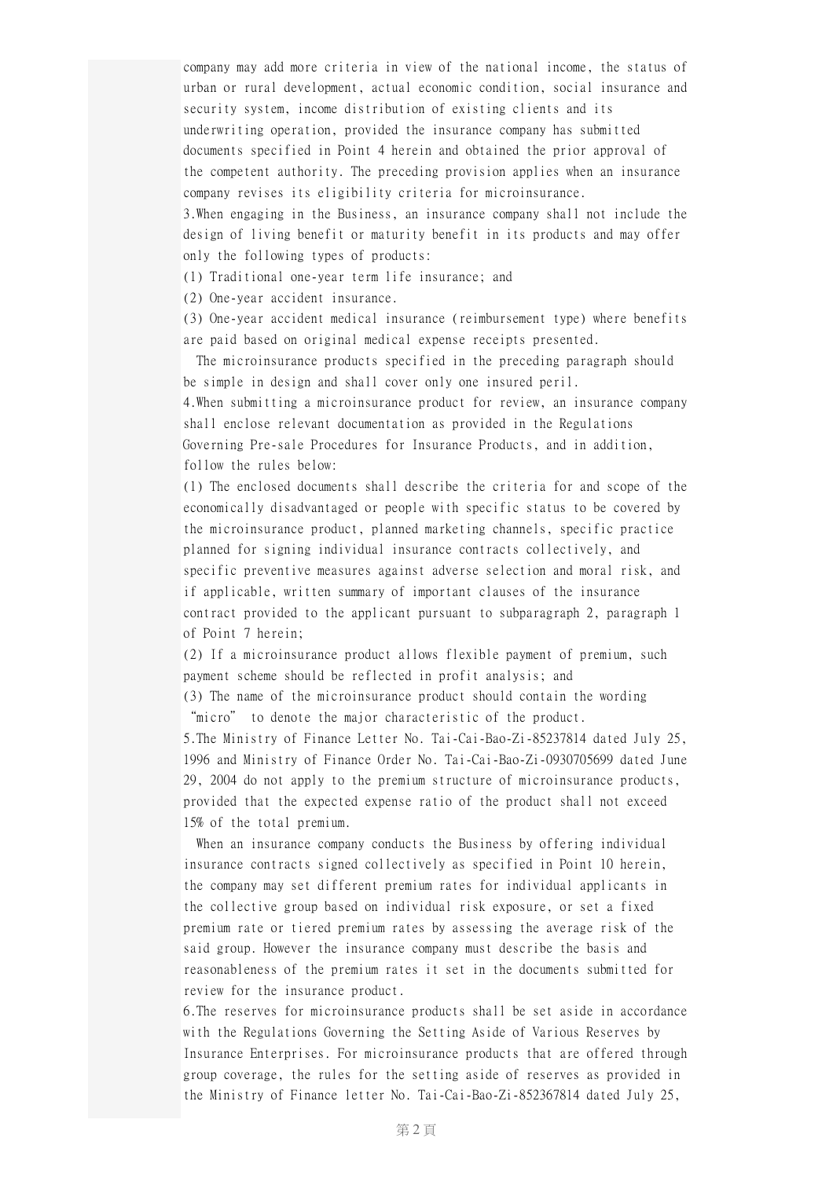company may add more criteria in view of the national income, the status of urban or rural development, actual economic condition, social insurance and security system, income distribution of existing clients and its underwriting operation, provided the insurance company has submitted documents specified in Point 4 herein and obtained the prior approval of the competent authority. The preceding provision applies when an insurance company revises its eligibility criteria for microinsurance.

3.When engaging in the Business, an insurance company shall not include the design of living benefit or maturity benefit in its products and may offer only the following types of products:

(1) Traditional one-year term life insurance; and

(2) One-year accident insurance.

(3) One-year accident medical insurance (reimbursement type) where benefits are paid based on original medical expense receipts presented.

The microinsurance products specified in the preceding paragraph should be simple in design and shall cover only one insured peril.

4.When submitting a microinsurance product for review, an insurance company shall enclose relevant documentation as provided in the Regulations Governing Pre-sale Procedures for Insurance Products, and in addition, follow the rules below:

(1) The enclosed documents shall describe the criteria for and scope of the economically disadvantaged or people with specific status to be covered by the microinsurance product, planned marketing channels, specific practice planned for signing individual insurance contracts collectively, and specific preventive measures against adverse selection and moral risk, and if applicable, written summary of important clauses of the insurance contract provided to the applicant pursuant to subparagraph 2, paragraph 1 of Point 7 herein;

(2) If a microinsurance product allows flexible payment of premium, such payment scheme should be reflected in profit analysis; and

(3) The name of the microinsurance product should contain the wording "micro" to denote the major characteristic of the product.

5.The Ministry of Finance Letter No. Tai-Cai-Bao-Zi-85237814 dated July 25, 1996 and Ministry of Finance Order No. Tai-Cai-Bao-Zi-0930705699 dated June 29, 2004 do not apply to the premium structure of microinsurance products, provided that the expected expense ratio of the product shall not exceed 15% of the total premium.

When an insurance company conducts the Business by offering individual insurance contracts signed collectively as specified in Point 10 herein, the company may set different premium rates for individual applicants in the collective group based on individual risk exposure, or set a fixed premium rate or tiered premium rates by assessing the average risk of the said group. However the insurance company must describe the basis and reasonableness of the premium rates it set in the documents submitted for review for the insurance product.

6.The reserves for microinsurance products shall be set aside in accordance with the Regulations Governing the Setting Aside of Various Reserves by Insurance Enterprises. For microinsurance products that are offered through group coverage, the rules for the setting aside of reserves as provided in the Ministry of Finance letter No. Tai-Cai-Bao-Zi-852367814 dated July 25,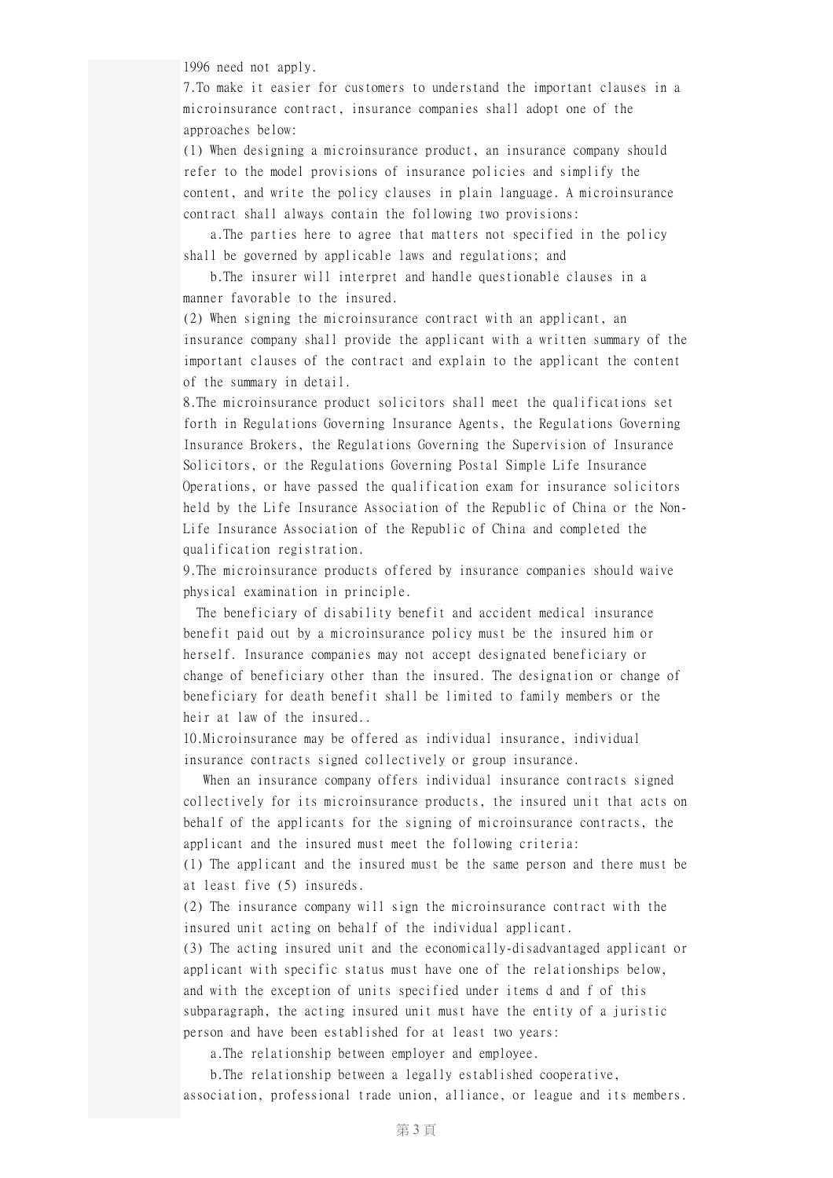1996 need not apply.

7.To make it easier for customers to understand the important clauses in a microinsurance contract, insurance companies shall adopt one of the approaches below:

(1) When designing a microinsurance product, an insurance company should refer to the model provisions of insurance policies and simplify the content, and write the policy clauses in plain language. A microinsurance contract shall always contain the following two provisions:

a.The parties here to agree that matters not specified in the policy shall be governed by applicable laws and regulations; and

b.The insurer will interpret and handle questionable clauses in a manner favorable to the insured.

(2) When signing the microinsurance contract with an applicant, an insurance company shall provide the applicant with a written summary of the important clauses of the contract and explain to the applicant the content of the summary in detail.

8.The microinsurance product solicitors shall meet the qualifications set forth in Regulations Governing Insurance Agents, the Regulations Governing Insurance Brokers, the Regulations Governing the Supervision of Insurance Solicitors, or the Regulations Governing Postal Simple Life Insurance Operations, or have passed the qualification exam for insurance solicitors held by the Life Insurance Association of the Republic of China or the Non-Life Insurance Association of the Republic of China and completed the qualification registration.

9.The microinsurance products offered by insurance companies should waive physical examination in principle.

The beneficiary of disability benefit and accident medical insurance benefit paid out by a microinsurance policy must be the insured him or herself. Insurance companies may not accept designated beneficiary or change of beneficiary other than the insured. The designation or change of beneficiary for death benefit shall be limited to family members or the heir at law of the insured..

10.Microinsurance may be offered as individual insurance, individual insurance contracts signed collectively or group insurance.

When an insurance company offers individual insurance contracts signed collectively for its microinsurance products, the insured unit that acts on behalf of the applicants for the signing of microinsurance contracts, the applicant and the insured must meet the following criteria:

(1) The applicant and the insured must be the same person and there must be at least five (5) insureds.

(2) The insurance company will sign the microinsurance contract with the insured unit acting on behalf of the individual applicant.

(3) The acting insured unit and the economically-disadvantaged applicant or applicant with specific status must have one of the relationships below, and with the exception of units specified under items d and f of this subparagraph, the acting insured unit must have the entity of a juristic person and have been established for at least two years:

a.The relationship between employer and employee.

b.The relationship between a legally established cooperative, association, professional trade union, alliance, or league and its members.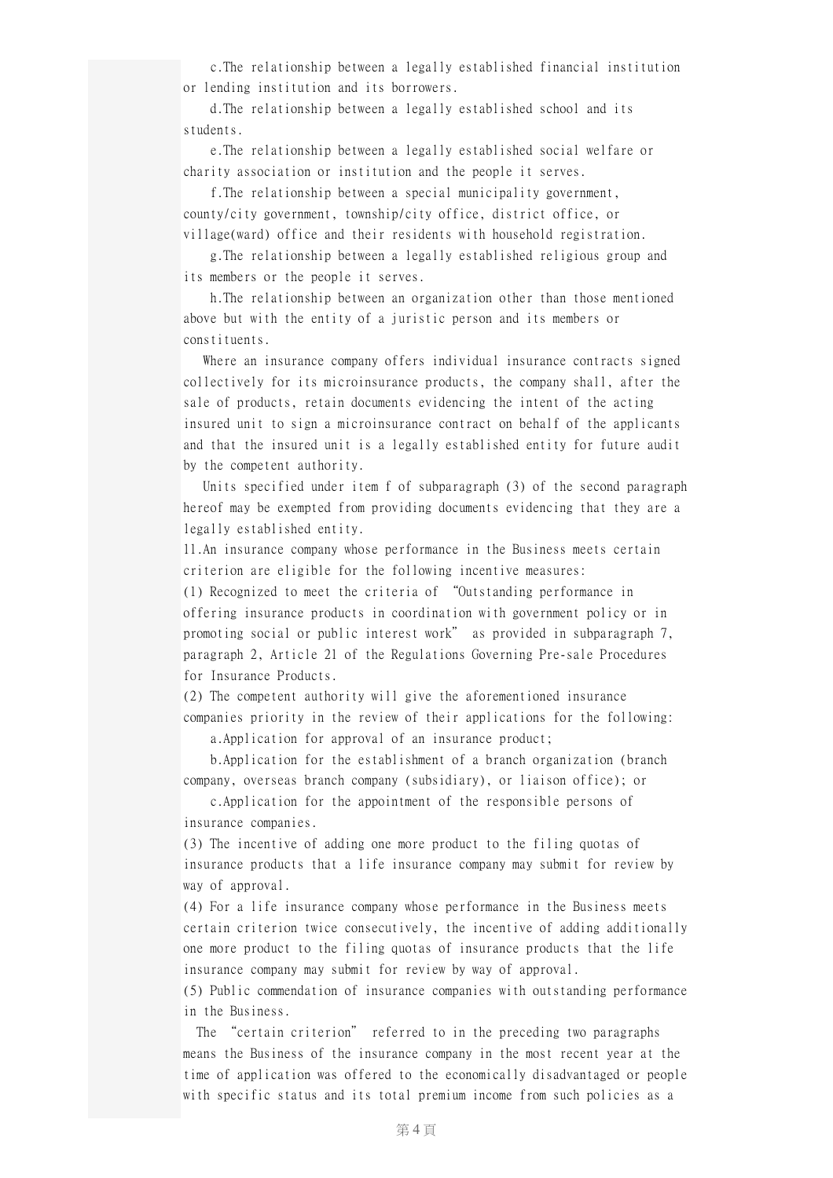c.The relationship between a legally established financial institution or lending institution and its borrowers.

d.The relationship between a legally established school and its students.

e.The relationship between a legally established social welfare or charity association or institution and the people it serves.

f.The relationship between a special municipality government, county/city government, township/city office, district office, or village(ward) office and their residents with household registration.

g.The relationship between a legally established religious group and its members or the people it serves.

h.The relationship between an organization other than those mentioned above but with the entity of a juristic person and its members or constituents.

Where an insurance company offers individual insurance contracts signed collectively for its microinsurance products, the company shall, after the sale of products, retain documents evidencing the intent of the acting insured unit to sign a microinsurance contract on behalf of the applicants and that the insured unit is a legally established entity for future audit by the competent authority.

Units specified under item f of subparagraph (3) of the second paragraph hereof may be exempted from providing documents evidencing that they are a legally established entity.

11.An insurance company whose performance in the Business meets certain criterion are eligible for the following incentive measures:

(1) Recognized to meet the criteria of "Outstanding performance in offering insurance products in coordination with government policy or in promoting social or public interest work" as provided in subparagraph 7, paragraph 2, Article 21 of the Regulations Governing Pre-sale Procedures for Insurance Products.

(2) The competent authority will give the aforementioned insurance companies priority in the review of their applications for the following:

a.Application for approval of an insurance product;

b.Application for the establishment of a branch organization (branch company, overseas branch company (subsidiary), or liaison office); or

c.Application for the appointment of the responsible persons of insurance companies.

(3) The incentive of adding one more product to the filing quotas of insurance products that a life insurance company may submit for review by way of approval.

(4) For a life insurance company whose performance in the Business meets certain criterion twice consecutively, the incentive of adding additionally one more product to the filing quotas of insurance products that the life insurance company may submit for review by way of approval.

(5) Public commendation of insurance companies with outstanding performance in the Business.

The "certain criterion" referred to in the preceding two paragraphs means the Business of the insurance company in the most recent year at the time of application was offered to the economically disadvantaged or people with specific status and its total premium income from such policies as a